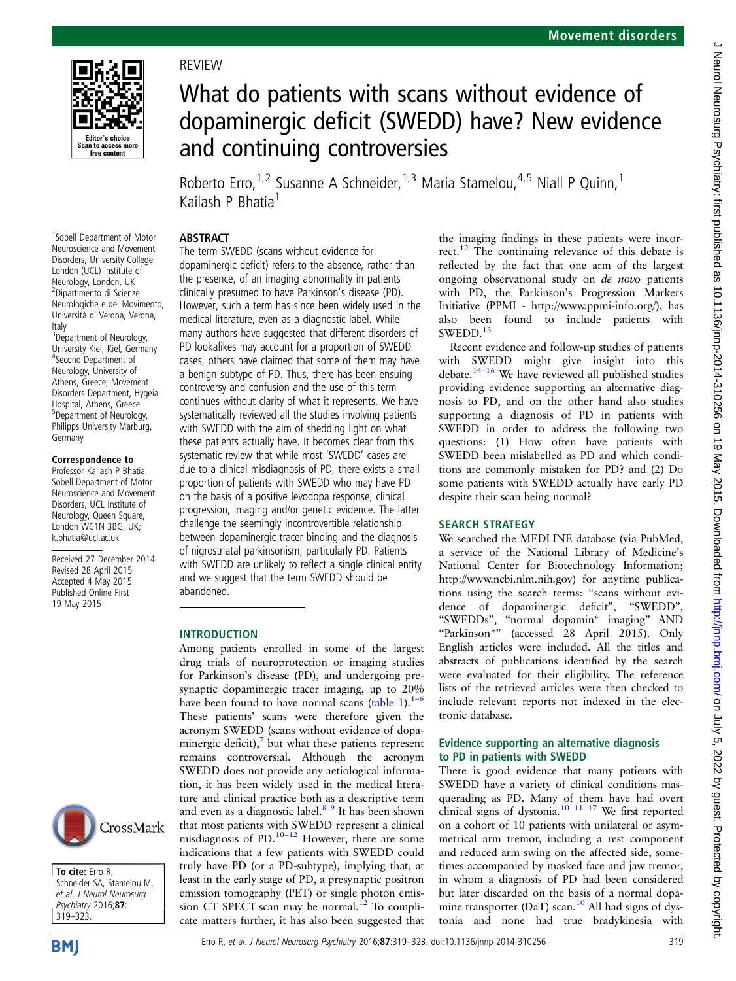

# What do patients with scans without evidence of dopaminergic deficit (SWEDD) have? New evidence and continuing controversies

Roberto Erro,  $1.2$  Susanne A Schneider,  $1.3$  Maria Stamelou,  $4.5$  Niall P Quinn, 1 Kailash P Bhatia<sup>1</sup>

## **ABSTRACT**

REVIEW

The term SWEDD (scans without evidence for dopaminergic deficit) refers to the absence, rather than the presence, of an imaging abnormality in patients clinically presumed to have Parkinson's disease (PD). However, such a term has since been widely used in the medical literature, even as a diagnostic label. While many authors have suggested that different disorders of PD lookalikes may account for a proportion of SWEDD cases, others have claimed that some of them may have a benign subtype of PD. Thus, there has been ensuing controversy and confusion and the use of this term continues without clarity of what it represents. We have systematically reviewed all the studies involving patients with SWEDD with the aim of shedding light on what these patients actually have. It becomes clear from this systematic review that while most 'SWEDD' cases are due to a clinical misdiagnosis of PD, there exists a small proportion of patients with SWEDD who may have PD on the basis of a positive levodopa response, clinical progression, imaging and/or genetic evidence. The latter challenge the seemingly incontrovertible relationship between dopaminergic tracer binding and the diagnosis of nigrostriatal parkinsonism, particularly PD. Patients with SWEDD are unlikely to reflect a single clinical entity and we suggest that the term SWEDD should be

## INTRODUCTION

abandoned.

Among patients enrolled in some of the largest drug trials of neuroprotection or imaging studies for Parkinson's disease (PD), and undergoing presynaptic dopaminergic tracer imaging, up to 20% have been found to have normal scans ([table 1](#page-1-0)). $1-6$  $1-6$ These patients' scans were therefore given the acronym SWEDD (scans without evidence of dopaminergic deficit), $\frac{7}{7}$  but what these patients represent remains controversial. Although the acronym SWEDD does not provide any aetiological information, it has been widely used in the medical literature and clinical practice both as a descriptive term and even as a diagnostic label. $89$  It has been shown that most patients with SWEDD represent a clinical misdiagnosis of PD. $^{10-12}$  $^{10-12}$  $^{10-12}$  However, there are some indications that a few patients with SWEDD could truly have PD (or a PD-subtype), implying that, at least in the early stage of PD, a presynaptic positron emission tomography (PET) or single photon emission CT SPECT scan may be normal.<sup>12</sup> To complicate matters further, it has also been suggested that

the imaging findings in these patients were incor-rect.<sup>[12](#page-3-0)</sup> The continuing relevance of this debate is reflected by the fact that one arm of the largest ongoing observational study on de novo patients with PD, the Parkinson's Progression Markers Initiative (PPMI - [http://www.ppmi-info.org/\)](http://www.ppmi-info.org/), has also been found to include patients with SWEDD.[13](#page-3-0)

Recent evidence and follow-up studies of patients with SWEDD might give insight into this debate.[14](#page-3-0)–<sup>16</sup> We have reviewed all published studies providing evidence supporting an alternative diagnosis to PD, and on the other hand also studies supporting a diagnosis of PD in patients with SWEDD in order to address the following two questions: (1) How often have patients with SWEDD been mislabelled as PD and which conditions are commonly mistaken for PD? and (2) Do some patients with SWEDD actually have early PD despite their scan being normal?

#### SEARCH STRATEGY

We searched the MEDLINE database (via PubMed, a service of the National Library of Medicine's National Center for Biotechnology Information; [http://www.ncbi.nlm.nih.gov\)](http://www.ncbi.nlm.nih.gov) for anytime publications using the search terms: "scans without evidence of dopaminergic deficit", "SWEDD", "SWEDDs", "normal dopamin\* imaging" AND "Parkinson\*" (accessed 28 April 2015). Only English articles were included. All the titles and abstracts of publications identified by the search were evaluated for their eligibility. The reference lists of the retrieved articles were then checked to include relevant reports not indexed in the electronic database.

### Evidence supporting an alternative diagnosis to PD in patients with SWEDD

There is good evidence that many patients with SWEDD have a variety of clinical conditions masquerading as PD. Many of them have had overt clinical signs of dystonia.<sup>[10 11 17](#page-3-0)</sup> We first reported on a cohort of 10 patients with unilateral or asymmetrical arm tremor, including a rest component and reduced arm swing on the affected side, sometimes accompanied by masked face and jaw tremor, in whom a diagnosis of PD had been considered but later discarded on the basis of a normal dopamine transporter (DaT) scan.<sup>10</sup> All had signs of dystonia and none had true bradykinesia with

1 Sobell Department of Motor Neuroscience and Movement Disorders, University College London (UCL) Institute of Neurology, London, UK 2 Dipartimento di Scienze Neurologiche e del Movimento, Università di Verona, Verona, Italy

<sup>3</sup>Department of Neurology, University Kiel, Kiel, Germany 4 Second Department of Neurology, University of Athens, Greece; Movement Disorders Department, Hygeia Hospital, Athens, Greece 5 Department of Neurology, Philipps University Marburg, Germany

#### Correspondence to

Professor Kailash P Bhatia, Sobell Department of Motor Neuroscience and Movement Disorders, UCL Institute of Neurology, Queen Square, London WC1N 3BG, UK; k.bhatia@ucl.ac.uk

Received 27 December 2014 Revised 28 April 2015 Accepted 4 May 2015 Published Online First 19 May 2015



To cite: Erro R, Schneider SA, Stamelou M, et al. J Neurol Neurosurg Psychiatry 2016;87: 319–323.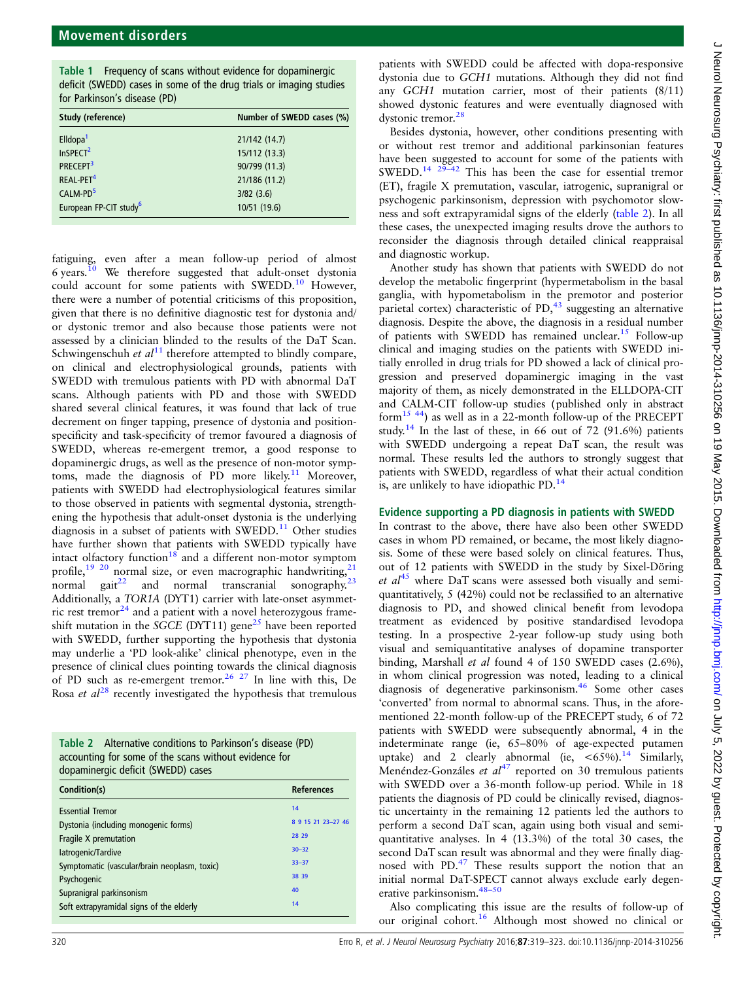<span id="page-1-0"></span>

| Table 1 Frequency of scans without evidence for dopaminergic        |
|---------------------------------------------------------------------|
| deficit (SWEDD) cases in some of the drug trials or imaging studies |
| for Parkinson's disease (PD)                                        |

| Study (reference)                  | Number of SWEDD cases (%) |  |
|------------------------------------|---------------------------|--|
| Elldopa <sup>1</sup>               | 21/142 (14.7)             |  |
| InSPECT <sup>2</sup>               | 15/112 (13.3)             |  |
| PRECEPT <sup>3</sup>               | 90/799 (11.3)             |  |
| REAL-PET <sup>4</sup>              | 21/186 (11.2)             |  |
| CALM-PD <sup>5</sup>               | 3/82(3.6)                 |  |
| European FP-CIT study <sup>6</sup> | 10/51 (19.6)              |  |

fatiguing, even after a mean follow-up period of almost  $6$  years.<sup>[10](#page-3-0)</sup> We therefore suggested that adult-onset dystonia could account for some patients with SWEDD.<sup>[10](#page-3-0)</sup> However, there were a number of potential criticisms of this proposition, given that there is no definitive diagnostic test for dystonia and/ or dystonic tremor and also because those patients were not assessed by a clinician blinded to the results of the DaT Scan. Schwingenschuh et  $al<sup>11</sup>$  $al<sup>11</sup>$  $al<sup>11</sup>$  therefore attempted to blindly compare, on clinical and electrophysiological grounds, patients with SWEDD with tremulous patients with PD with abnormal DaT scans. Although patients with PD and those with SWEDD shared several clinical features, it was found that lack of true decrement on finger tapping, presence of dystonia and positionspecificity and task-specificity of tremor favoured a diagnosis of SWEDD, whereas re-emergent tremor, a good response to dopaminergic drugs, as well as the presence of non-motor symp-toms, made the diagnosis of PD more likely.<sup>[11](#page-3-0)</sup> Moreover, patients with SWEDD had electrophysiological features similar to those observed in patients with segmental dystonia, strengthening the hypothesis that adult-onset dystonia is the underlying diagnosis in a subset of patients with SWEDD.<sup>[11](#page-3-0)</sup> Other studies have further shown that patients with SWEDD typically have intact olfactory function $18$  and a different non-motor symptom profile,<sup>[19 20](#page-3-0)</sup> normal size, or even macrographic handwriting,<sup>21</sup> normal gait<sup>22</sup> and normal transcranial sonography.<sup>23</sup> and normal transcranial sonography.<sup>[23](#page-3-0)</sup> Additionally, a TOR1A (DYT1) carrier with late-onset asymmetric rest tremor $^{24}$  $^{24}$  $^{24}$  and a patient with a novel heterozygous frame-shift mutation in the SGCE (DYT11) gene<sup>[25](#page-3-0)</sup> have been reported with SWEDD, further supporting the hypothesis that dystonia may underlie a 'PD look-alike' clinical phenotype, even in the presence of clinical clues pointing towards the clinical diagnosis of PD such as re-emergent tremor.<sup>[26 27](#page-3-0)</sup> In line with this, De Rosa et  $al^{28}$  $al^{28}$  $al^{28}$  recently investigated the hypothesis that tremulous

Table 2 Alternative conditions to Parkinson's disease (PD) accounting for some of the scans without evidence for dopaminergic deficit (SWEDD) cases

| Condition(s)                                 | <b>References</b>    |
|----------------------------------------------|----------------------|
| <b>Essential Tremor</b>                      | 14                   |
| Dystonia (including monogenic forms)         | 8 9 15 21 23 - 27 46 |
| Fragile X premutation                        | 28.29                |
| latrogenic/Tardive                           | $30 - 32$            |
| Symptomatic (vascular/brain neoplasm, toxic) | $33 - 37$            |
| Psychogenic                                  | 38 39                |
| Supranigral parkinsonism                     | 40                   |
| Soft extrapyramidal signs of the elderly     | 14                   |

patients with SWEDD could be affected with dopa-responsive dystonia due to GCH1 mutations. Although they did not find any GCH1 mutation carrier, most of their patients (8/11) showed dystonic features and were eventually diagnosed with dystonic tremor.<sup>2</sup>

Besides dystonia, however, other conditions presenting with or without rest tremor and additional parkinsonian features have been suggested to account for some of the patients with SWEDD.<sup>[14 29](#page-3-0)–42</sup> This has been the case for essential tremor (ET), fragile X premutation, vascular, iatrogenic, supranigral or psychogenic parkinsonism, depression with psychomotor slowness and soft extrapyramidal signs of the elderly (table 2). In all these cases, the unexpected imaging results drove the authors to reconsider the diagnosis through detailed clinical reappraisal and diagnostic workup.

Another study has shown that patients with SWEDD do not develop the metabolic fingerprint (hypermetabolism in the basal ganglia, with hypometabolism in the premotor and posterior parietal cortex) characteristic of PD,<sup>[43](#page-4-0)</sup> suggesting an alternative diagnosis. Despite the above, the diagnosis in a residual number of patients with SWEDD has remained unclear.<sup>15</sup> Follow-up clinical and imaging studies on the patients with SWEDD initially enrolled in drug trials for PD showed a lack of clinical progression and preserved dopaminergic imaging in the vast majority of them, as nicely demonstrated in the ELLDOPA-CIT and CALM-CIT follow-up studies (published only in abstract form<sup>15</sup>  $44$ ) as well as in a 22-month follow-up of the PRECEPT study.<sup>[14](#page-3-0)</sup> In the last of these, in 66 out of 72 (91.6%) patients with SWEDD undergoing a repeat DaT scan, the result was normal. These results led the authors to strongly suggest that patients with SWEDD, regardless of what their actual condition is, are unlikely to have idiopathic PD.<sup>[14](#page-3-0)</sup>

#### Evidence supporting a PD diagnosis in patients with SWEDD

In contrast to the above, there have also been other SWEDD cases in whom PD remained, or became, the most likely diagnosis. Some of these were based solely on clinical features. Thus, out of 12 patients with SWEDD in the study by Sixel-Döring et  $al^{45}$  $al^{45}$  $al^{45}$  where DaT scans were assessed both visually and semiquantitatively, 5 (42%) could not be reclassified to an alternative diagnosis to PD, and showed clinical benefit from levodopa treatment as evidenced by positive standardised levodopa testing. In a prospective 2-year follow-up study using both visual and semiquantitative analyses of dopamine transporter binding, Marshall et al found 4 of 150 SWEDD cases (2.6%), in whom clinical progression was noted, leading to a clinical diagnosis of degenerative parkinsonism.<sup>46</sup> Some other cases 'converted' from normal to abnormal scans. Thus, in the aforementioned 22-month follow-up of the PRECEPT study, 6 of 72 patients with SWEDD were subsequently abnormal, 4 in the indeterminate range (ie, 65–80% of age-expected putamen uptake) and 2 clearly abnormal (ie,  $\lt 65\%$ ).<sup>[14](#page-3-0)</sup> Similarly, Menéndez-Gonzáles et  $al^{47}$  $al^{47}$  $al^{47}$  reported on 30 tremulous patients with SWEDD over a 36-month follow-up period. While in 18 patients the diagnosis of PD could be clinically revised, diagnostic uncertainty in the remaining 12 patients led the authors to perform a second DaT scan, again using both visual and semiquantitative analyses. In 4 (13.3%) of the total 30 cases, the second DaT scan result was abnormal and they were finally diagnosed with PD.<sup>47</sup> These results support the notion that an initial normal DaT-SPECT cannot always exclude early degenerative parkinsonism.[48](#page-4-0)–<sup>50</sup>

Also complicating this issue are the results of follow-up of our original cohort[.16](#page-3-0) Although most showed no clinical or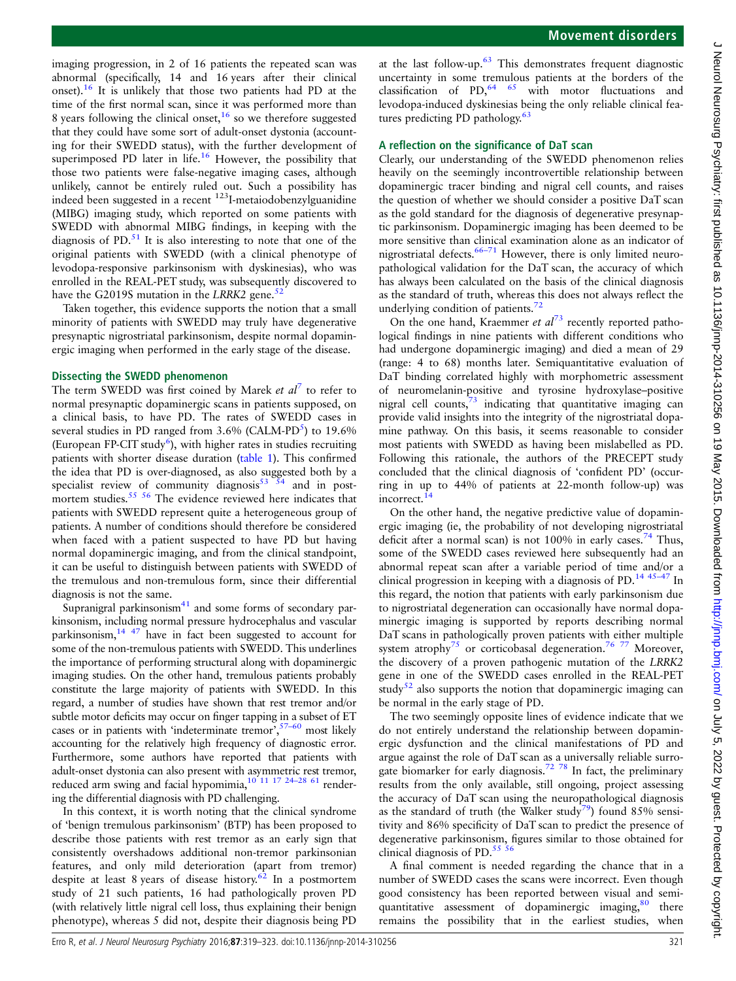J Neurol Neurosurg Psychiatry: first published as 10.11136/jnnp-2014-310256 on 19 May 2015. Downloaded from http://jnnp.bmj.com/ on July 5, 2022 by guest. Protected by copyright. J Neurol Neurosurg Psychiatry: first published as 10.11136/jnnp-2014-310256 on 19 May 2015. Downloaded from <http://jnnp.bmj.com/> on July 5, 2022 by guest. Protected by copyright.

imaging progression, in 2 of 16 patients the repeated scan was abnormal (specifically, 14 and 16 years after their clinical onset).[16](#page-3-0) It is unlikely that those two patients had PD at the time of the first normal scan, since it was performed more than 8 years following the clinical onset,<sup>[16](#page-3-0)</sup> so we therefore suggested that they could have some sort of adult-onset dystonia (accounting for their SWEDD status), with the further development of superimposed PD later in life.<sup>16</sup> However, the possibility that those two patients were false-negative imaging cases, although unlikely, cannot be entirely ruled out. Such a possibility has indeed been suggested in a recent 123I-metaiodobenzylguanidine (MIBG) imaging study, which reported on some patients with SWEDD with abnormal MIBG findings, in keeping with the diagnosis of PD. $51$  It is also interesting to note that one of the original patients with SWEDD (with a clinical phenotype of levodopa-responsive parkinsonism with dyskinesias), who was enrolled in the REAL-PET study, was subsequently discovered to have the G2019S mutation in the LRRK2 gene.<sup>5</sup>

Taken together, this evidence supports the notion that a small minority of patients with SWEDD may truly have degenerative presynaptic nigrostriatal parkinsonism, despite normal dopaminergic imaging when performed in the early stage of the disease.

#### Dissecting the SWEDD phenomenon

The term SWEDD was first coined by Marek et  $al^7$  $al^7$  to refer to normal presynaptic dopaminergic scans in patients supposed, on a clinical basis, to have PD. The rates of SWEDD cases in several studies in PD ranged from 3.6% (CALM-PD<sup>[5](#page-3-0)</sup>) to 19.6% (European FP-CIT study<sup>[6](#page-3-0)</sup>), with higher rates in studies recruiting patients with shorter disease duration [\(table 1\)](#page-1-0). This confirmed the idea that PD is over-diagnosed, as also suggested both by a specialist review of community diagnosis<sup>53</sup>  $\frac{54}{54}$  and in post-mortem studies.<sup>[55 56](#page-4-0)</sup> The evidence reviewed here indicates that patients with SWEDD represent quite a heterogeneous group of patients. A number of conditions should therefore be considered when faced with a patient suspected to have PD but having normal dopaminergic imaging, and from the clinical standpoint, it can be useful to distinguish between patients with SWEDD of the tremulous and non-tremulous form, since their differential diagnosis is not the same.

Supranigral parkinsonism $41$  and some forms of secondary parkinsonism, including normal pressure hydrocephalus and vascular parkinsonism, $14 \frac{47}{7}$  have in fact been suggested to account for some of the non-tremulous patients with SWEDD. This underlines the importance of performing structural along with dopaminergic imaging studies. On the other hand, tremulous patients probably constitute the large majority of patients with SWEDD. In this regard, a number of studies have shown that rest tremor and/or subtle motor deficits may occur on finger tapping in a subset of ET cases or in patients with 'indeterminate tremor', [57](#page-4-0)-60 most likely accounting for the relatively high frequency of diagnostic error. Furthermore, some authors have reported that patients with adult-onset dystonia can also present with asymmetric rest tremor, reduced arm swing and facial hypomimia,<sup>10 11 17 24–[28](#page-3-0) [61](#page-4-0)</sup> rendering the differential diagnosis with PD challenging.

In this context, it is worth noting that the clinical syndrome of 'benign tremulous parkinsonism' (BTP) has been proposed to describe those patients with rest tremor as an early sign that consistently overshadows additional non-tremor parkinsonian features, and only mild deterioration (apart from tremor) despite at least 8 years of disease history.<sup>[62](#page-4-0)</sup> In a postmortem study of 21 such patients, 16 had pathologically proven PD (with relatively little nigral cell loss, thus explaining their benign phenotype), whereas 5 did not, despite their diagnosis being PD

at the last follow-up. $63$  This demonstrates frequent diagnostic uncertainty in some tremulous patients at the borders of the classification of PD,  $64$   $65$  with motor fluctuations and levodopa-induced dyskinesias being the only reliable clinical fea-tures predicting PD pathology.<sup>[63](#page-4-0)</sup>

## A reflection on the significance of DaT scan

Clearly, our understanding of the SWEDD phenomenon relies heavily on the seemingly incontrovertible relationship between dopaminergic tracer binding and nigral cell counts, and raises the question of whether we should consider a positive DaT scan as the gold standard for the diagnosis of degenerative presynaptic parkinsonism. Dopaminergic imaging has been deemed to be more sensitive than clinical examination alone as an indicator of nigrostriatal defects. $66-71$  However, there is only limited neuropathological validation for the DaT scan, the accuracy of which has always been calculated on the basis of the clinical diagnosis as the standard of truth, whereas this does not always reflect the underlying condition of patients.<sup>72</sup>

On the one hand, Kraemmer et  $al^{73}$  $al^{73}$  $al^{73}$  recently reported pathological findings in nine patients with different conditions who had undergone dopaminergic imaging) and died a mean of 29 (range: 4 to 68) months later. Semiquantitative evaluation of DaT binding correlated highly with morphometric assessment of neuromelanin-positive and tyrosine hydroxylase–positive nigral cell counts,[73](#page-4-0) indicating that quantitative imaging can provide valid insights into the integrity of the nigrostriatal dopamine pathway. On this basis, it seems reasonable to consider most patients with SWEDD as having been mislabelled as PD. Following this rationale, the authors of the PRECEPT study concluded that the clinical diagnosis of 'confident PD' (occurring in up to 44% of patients at 22-month follow-up) was incorrect.

On the other hand, the negative predictive value of dopaminergic imaging (ie, the probability of not developing nigrostriatal deficit after a normal scan) is not  $100\%$  in early cases.<sup>[74](#page-4-0)</sup> Thus, some of the SWEDD cases reviewed here subsequently had an abnormal repeat scan after a variable period of time and/or a clinical progression in keeping with a diagnosis of PD.<sup>[14](#page-3-0) [45](#page-4-0)–47</sup> In this regard, the notion that patients with early parkinsonism due to nigrostriatal degeneration can occasionally have normal dopaminergic imaging is supported by reports describing normal DaT scans in pathologically proven patients with either multiple system atrophy<sup>75</sup> or corticobasal degeneration.<sup>76 77</sup> Moreover, the discovery of a proven pathogenic mutation of the LRRK2 gene in one of the SWEDD cases enrolled in the REAL-PET study<sup>[52](#page-4-0)</sup> also supports the notion that dopaminergic imaging can be normal in the early stage of PD.

The two seemingly opposite lines of evidence indicate that we do not entirely understand the relationship between dopaminergic dysfunction and the clinical manifestations of PD and argue against the role of DaT scan as a universally reliable surro-gate biomarker for early diagnosis.<sup>[72 78](#page-4-0)</sup> In fact, the preliminary results from the only available, still ongoing, project assessing the accuracy of DaT scan using the neuropathological diagnosis as the standard of truth (the Walker study<sup>[79](#page-4-0)</sup>) found 85% sensitivity and 86% specificity of DaT scan to predict the presence of degenerative parkinsonism, figures similar to those obtained for clinical diagnosis of PD.<sup>[55 56](#page-4-0)</sup>

A final comment is needed regarding the chance that in a number of SWEDD cases the scans were incorrect. Even though good consistency has been reported between visual and semiquantitative assessment of dopaminergic imaging,<sup>80</sup> there remains the possibility that in the earliest studies, when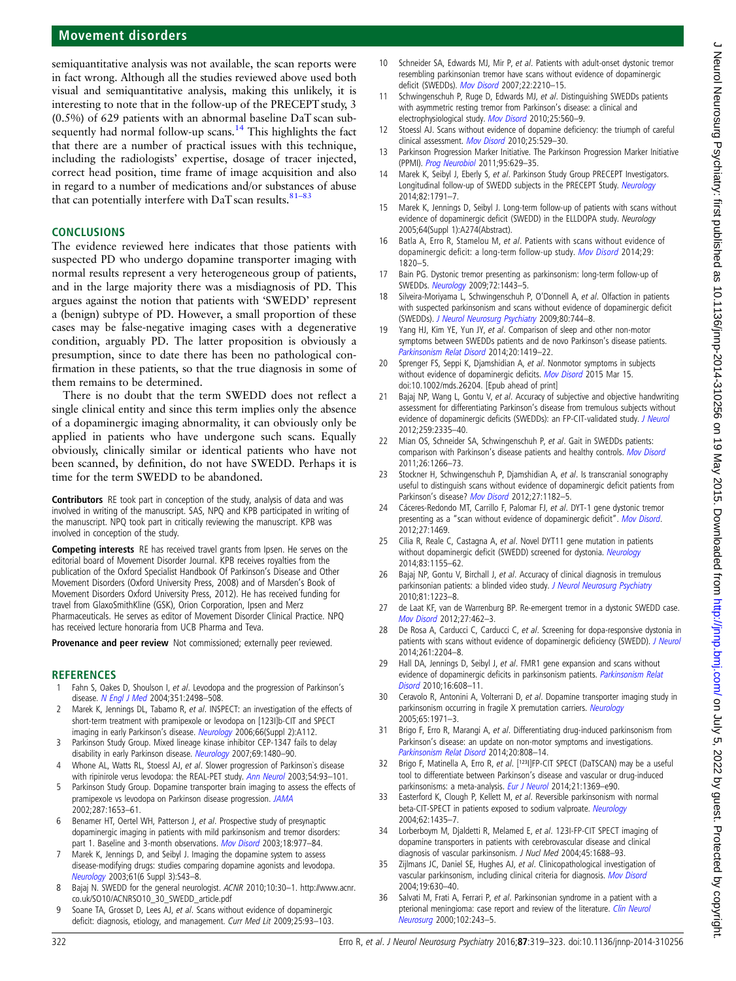## <span id="page-3-0"></span>Movement disorders

semiquantitative analysis was not available, the scan reports were in fact wrong. Although all the studies reviewed above used both visual and semiquantitative analysis, making this unlikely, it is interesting to note that in the follow-up of the PRECEPT study, 3 (0.5%) of 629 patients with an abnormal baseline DaT scan subsequently had normal follow-up scans.<sup>14</sup> This highlights the fact that there are a number of practical issues with this technique, including the radiologists' expertise, dosage of tracer injected, correct head position, time frame of image acquisition and also in regard to a number of medications and/or substances of abuse that can potentially interfere with DaT scan results. $81-83$ 

#### **CONCLUSIONS**

The evidence reviewed here indicates that those patients with suspected PD who undergo dopamine transporter imaging with normal results represent a very heterogeneous group of patients, and in the large majority there was a misdiagnosis of PD. This argues against the notion that patients with 'SWEDD' represent a (benign) subtype of PD. However, a small proportion of these cases may be false-negative imaging cases with a degenerative condition, arguably PD. The latter proposition is obviously a presumption, since to date there has been no pathological confirmation in these patients, so that the true diagnosis in some of them remains to be determined.

There is no doubt that the term SWEDD does not reflect a single clinical entity and since this term implies only the absence of a dopaminergic imaging abnormality, it can obviously only be applied in patients who have undergone such scans. Equally obviously, clinically similar or identical patients who have not been scanned, by definition, do not have SWEDD. Perhaps it is time for the term SWEDD to be abandoned.

Contributors RE took part in conception of the study, analysis of data and was involved in writing of the manuscript. SAS, NPQ and KPB participated in writing of the manuscript. NPQ took part in critically reviewing the manuscript. KPB was involved in conception of the study.

Competing interests RE has received travel grants from Ipsen. He serves on the editorial board of Movement Disorder Journal. KPB receives royalties from the publication of the Oxford Specialist Handbook Of Parkinson's Disease and Other Movement Disorders (Oxford University Press, 2008) and of Marsden's Book of Movement Disorders Oxford University Press, 2012). He has received funding for travel from GlaxoSmithKline (GSK), Orion Corporation, Ipsen and Merz Pharmaceuticals. He serves as editor of Movement Disorder Clinical Practice. NPQ has received lecture honoraria from UCB Pharma and Teva.

Provenance and peer review Not commissioned; externally peer reviewed.

#### REFERENCES

- Fahn S, Oakes D, Shoulson I, et al. Levodopa and the progression of Parkinson's disease. [N Engl J Med](http://dx.doi.org/10.1056/NEJMoa033447) 2004;351:2498–508.
- 2 Marek K, Jennings DL, Tabamo R, et al. INSPECT: an investigation of the effects of short-term treatment with pramipexole or levodopa on [123I]b-CIT and SPECT imaging in early Parkinson's disease. [Neurology](http://dx.doi.org/10.1212/01.wnl.0000191390.20564.8e) 2006;66(Suppl 2):A112.
- 3 Parkinson Study Group. Mixed lineage kinase inhibitor CEP-1347 fails to delay disability in early Parkinson disease. [Neurology](http://dx.doi.org/10.1212/01.wnl.0000277648.63931.c0) 2007;69:1480-90.
- 4 Whone AL, Watts RL, Stoessl AJ, et al. Slower progression of Parkinson's disease with ripinirole verus levodopa: the REAL-PET study. [Ann Neurol](http://dx.doi.org/10.1002/ana.10609) 2003;54:93-101.
- 5 Parkinson Study Group. Dopamine transporter brain imaging to assess the effects of pramipexole vs levodopa on Parkinson disease progression. [JAMA](http://dx.doi.org/10.1001/jama.287.13.1653) 2002;287:1653–61.
- 6 Benamer HT, Oertel WH, Patterson J, et al. Prospective study of presynaptic dopaminergic imaging in patients with mild parkinsonism and tremor disorders: part 1. Baseline and 3-month observations. [Mov Disord](http://dx.doi.org/10.1002/mds.10482) 2003;18:977-84.
- 7 Marek K, Jennings D, and Seibyl J. Imaging the dopamine system to assess disease-modifying drugs: studies comparing dopamine agonists and levodopa. [Neurology](http://dx.doi.org/10.1212/WNL.61.6_suppl_3.S43) 2003;61(6 Suppl 3):S43–8.
- 8 Bajaj N. SWEDD for the general neurologist. ACNR 2010;10:30–1. [http://www.acnr.](http://www.acnr.co.uk/SO10/ACNRSO10_30_SWEDD_article.pdf) [co.uk/SO10/ACNRSO10\\_30\\_SWEDD\\_article.pdf](http://www.acnr.co.uk/SO10/ACNRSO10_30_SWEDD_article.pdf)
- 9 Soane TA, Grosset D, Lees AJ, et al. Scans without evidence of dopaminergic deficit: diagnosis, etiology, and management. Curr Med Lit 2009;25:93-103.
- 10 Schneider SA, Edwards MJ, Mir P, et al. Patients with adult-onset dystonic tremor resembling parkinsonian tremor have scans without evidence of dopaminergic deficit (SWEDDs). [Mov Disord](http://dx.doi.org/10.1002/mds.21685) 2007;22:2210–15.
- 11 Schwingenschuh P, Ruge D, Edwards MJ, et al. Distinguishing SWEDDs patients with asymmetric resting tremor from Parkinson's disease: a clinical and electrophysiological study. [Mov Disord](http://dx.doi.org/10.1002/mds.23019) 2010;25:560-9.
- 12 Stoessl AJ. Scans without evidence of dopamine deficiency: the triumph of careful clinical assessment. [Mov Disord](http://dx.doi.org/10.1002/mds.23138) 2010;25:529-30.
- 13 Parkinson Progression Marker Initiative. The Parkinson Progression Marker Initiative (PPMI). [Prog Neurobiol](http://dx.doi.org/10.1016/j.pneurobio.2011.09.005) 2011;95:629–35.
- 14 Marek K, Seibyl J, Eberly S, et al. Parkinson Study Group PRECEPT Investigators. Longitudinal follow-up of SWEDD subjects in the PRECEPT Study. [Neurology](http://dx.doi.org/10.1212/WNL.0000000000000424) 2014;82:1791–7.
- 15 Marek K, Jennings D, Seibyl J. Long-term follow-up of patients with scans without evidence of dopaminergic deficit (SWEDD) in the ELLDOPA study. Neurology 2005;64(Suppl 1):A274(Abstract).
- Batla A, Erro R, Stamelou M, et al. Patients with scans without evidence of dopaminergic deficit: a long-term follow-up study. [Mov Disord](http://dx.doi.org/10.1002/mds.26018) 2014;29: 1820–5.
- 17 Bain PG. Dystonic tremor presenting as parkinsonism: long-term follow-up of SWEDDs. [Neurology](http://dx.doi.org/10.1212/WNL.0b013e3181a18809) 2009;72:1443–5.
- 18 Silveira-Moriyama L, Schwingenschuh P, O'Donnell A, et al. Olfaction in patients with suspected parkinsonism and scans without evidence of dopaminergic deficit (SWEDDs). [J Neurol Neurosurg Psychiatry](http://dx.doi.org/10.1136/jnnp.2009.172825) 2009;80:744–8.
- 19 Yang HJ, Kim YE, Yun JY, et al. Comparison of sleep and other non-motor symptoms between SWEDDs patients and de novo Parkinson's disease patients. [Parkinsonism Relat Disord](http://dx.doi.org/10.1016/j.parkreldis.2014.09.024) 2014;20:1419–22.
- 20 Sprenger FS, Seppi K, Djamshidian A, et al. Nonmotor symptoms in subjects without evidence of dopaminergic deficits. [Mov Disord](http://dx.doi.org/10.1002/mds.26204) 2015 Mar 15. doi:10.1002/mds.26204. [Epub ahead of print]
- 21 Bajaj NP, Wang L, Gontu V, et al. Accuracy of subjective and objective handwriting assessment for differentiating Parkinson's disease from tremulous subjects without evidence of dopaminergic deficits (SWEDDs): an FP-CIT-validated study. [J Neurol](http://dx.doi.org/10.1007/s00415-012-6495-5) 2012;259:2335–40.
- Mian OS, Schneider SA, Schwingenschuh P, et al. Gait in SWEDDs patients: comparison with Parkinson's disease patients and healthy controls. [Mov Disord](http://dx.doi.org/10.1002/mds.23684) 2011;26:1266–73.
- 23 Stockner H, Schwingenschuh P, Djamshidian A, et al. Is transcranial sonography useful to distinguish scans without evidence of dopaminergic deficit patients from Parkinson's disease? [Mov Disord](http://dx.doi.org/10.1002/mds.25102) 2012;27:1182-5.
- 24 Cáceres-Redondo MT, Carrillo F, Palomar FJ, et al. DYT-1 gene dystonic tremor presenting as a "scan without evidence of dopaminergic deficit". [Mov Disord](http://dx.doi.org/10.1002/mds.25171). 2012;27:1469.
- 25 Cilia R, Reale C, Castagna A, et al. Novel DYT11 gene mutation in patients without dopaminergic deficit (SWEDD) screened for dystonia. [Neurology](http://dx.doi.org/10.1212/WNL.0000000000000821) 2014;83:1155–62.
- 26 Bajaj NP, Gontu V, Birchall J, et al. Accuracy of clinical diagnosis in tremulous parkinsonian patients: a blinded video study. [J Neurol Neurosurg Psychiatry](http://dx.doi.org/10.1136/jnnp.2009.193391) 2010;81:1223–8.
- 27 de Laat KF, van de Warrenburg BP. Re-emergent tremor in a dystonic SWEDD case. [Mov Disord](http://dx.doi.org/10.1002/mds.24040) 2012;27:462–3.
- 28 De Rosa A, Carducci C, Carducci C, et al. Screening for dopa-responsive dystonia in patients with scans without evidence of dopaminergic deficiency (SWEDD). [J Neurol](http://dx.doi.org/10.1007/s00415-014-7477-6) 2014;261:2204–8.
- 29 Hall DA, Jennings D, Seibyl J, et al. FMR1 gene expansion and scans without evidence of dopaminergic deficits in parkinsonism patients. [Parkinsonism Relat](http://dx.doi.org/10.1016/j.parkreldis.2010.07.006) [Disord](http://dx.doi.org/10.1016/j.parkreldis.2010.07.006) 2010;16:608–11.
- 30 Ceravolo R, Antonini A, Volterrani D, et al. Dopamine transporter imaging study in parkinsonism occurring in fragile X premutation carriers. [Neurology](http://dx.doi.org/10.1212/01.wnl.0000188821.51055.52) 2005;65:1971–3.
- 31 Brigo F, Erro R, Marangi A, et al. Differentiating drug-induced parkinsonism from Parkinson's disease: an update on non-motor symptoms and investigations. [Parkinsonism Relat Disord](http://dx.doi.org/10.1016/j.parkreldis.2014.05.011) 2014;20:808–14.
- 32 Brigo F, Matinella A, Erro R, et al. [1231]FP-CIT SPECT (DaTSCAN) may be a useful tool to differentiate between Parkinson's disease and vascular or drug-induced parkinsonisms: a meta-analysis. [Eur J Neurol](http://dx.doi.org/10.1111/ene.12444) 2014;21:1369-e90.
- 33 Easterford K, Clough P, Kellett M, et al. Reversible parkinsonism with normal beta-CIT-SPECT in patients exposed to sodium valproate. [Neurology](http://dx.doi.org/10.1212/01.WNL.0000121228.32913.00) 2004;62:1435–7.
- 34 Lorberboym M, Djaldetti R, Melamed E, et al. 123I-FP-CIT SPECT imaging of dopamine transporters in patients with cerebrovascular disease and clinical diagnosis of vascular parkinsonism. J Nucl Med 2004;45:1688–93.
- 35 Zijlmans JC, Daniel SE, Hughes AJ, et al. Clinicopathological investigation of vascular parkinsonism, including clinical criteria for diagnosis. [Mov Disord](http://dx.doi.org/10.1002/mds.20083) 2004;19:630–40.
- 36 Salvati M, Frati A, Ferrari P, et al. Parkinsonian syndrome in a patient with a pterional meningioma: case report and review of the literature. *[Clin Neurol](http://dx.doi.org/10.1016/S0303-8467(00)00111-6)* [Neurosurg](http://dx.doi.org/10.1016/S0303-8467(00)00111-6) 2000;102:243–5.